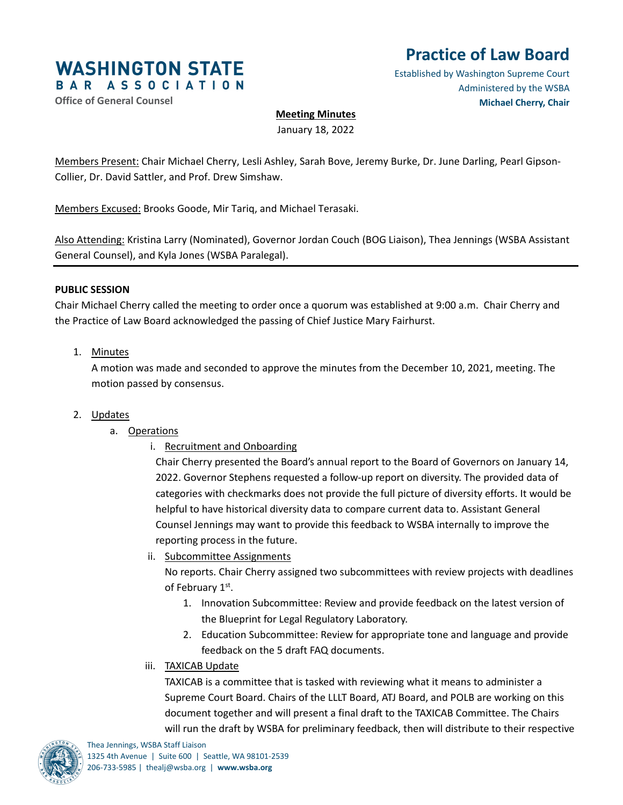

# **Practice of Law Board**

Established by Washington Supreme Court Administered by the WSBA **Michael Cherry, Chair**

# **Office of General Counsel**

# **Meeting Minutes**

January 18, 2022

Members Present: Chair Michael Cherry, Lesli Ashley, Sarah Bove, Jeremy Burke, Dr. June Darling, Pearl Gipson-Collier, Dr. David Sattler, and Prof. Drew Simshaw.

Members Excused: Brooks Goode, Mir Tariq, and Michael Terasaki.

Also Attending: Kristina Larry (Nominated), Governor Jordan Couch (BOG Liaison), Thea Jennings (WSBA Assistant General Counsel), and Kyla Jones (WSBA Paralegal).

## **PUBLIC SESSION**

Chair Michael Cherry called the meeting to order once a quorum was established at 9:00 a.m. Chair Cherry and the Practice of Law Board acknowledged the passing of Chief Justice Mary Fairhurst.

# 1. Minutes

A motion was made and seconded to approve the minutes from the December 10, 2021, meeting. The motion passed by consensus.

- 2. Updates
	- a. Operations
		- i. Recruitment and Onboarding

Chair Cherry presented the Board's annual report to the Board of Governors on January 14, 2022. Governor Stephens requested a follow-up report on diversity. The provided data of categories with checkmarks does not provide the full picture of diversity efforts. It would be helpful to have historical diversity data to compare current data to. Assistant General Counsel Jennings may want to provide this feedback to WSBA internally to improve the reporting process in the future.

ii. Subcommittee Assignments

No reports. Chair Cherry assigned two subcommittees with review projects with deadlines of February 1st.

- 1. Innovation Subcommittee: Review and provide feedback on the latest version of the Blueprint for Legal Regulatory Laboratory.
- 2. Education Subcommittee: Review for appropriate tone and language and provide feedback on the 5 draft FAQ documents.
- iii. TAXICAB Update

TAXICAB is a committee that is tasked with reviewing what it means to administer a Supreme Court Board. Chairs of the LLLT Board, ATJ Board, and POLB are working on this document together and will present a final draft to the TAXICAB Committee. The Chairs will run the draft by WSBA for preliminary feedback, then will distribute to their respective

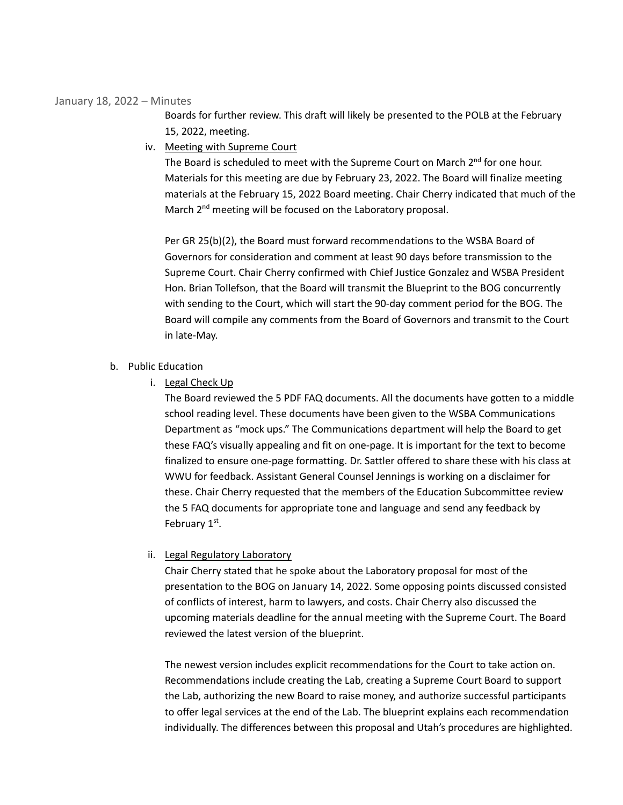#### January 18, 2022 – Minutes

Boards for further review. This draft will likely be presented to the POLB at the February 15, 2022, meeting.

iv. Meeting with Supreme Court

The Board is scheduled to meet with the Supreme Court on March 2<sup>nd</sup> for one hour. Materials for this meeting are due by February 23, 2022. The Board will finalize meeting materials at the February 15, 2022 Board meeting. Chair Cherry indicated that much of the March 2<sup>nd</sup> meeting will be focused on the Laboratory proposal.

Per GR 25(b)(2), the Board must forward recommendations to the WSBA Board of Governors for consideration and comment at least 90 days before transmission to the Supreme Court. Chair Cherry confirmed with Chief Justice Gonzalez and WSBA President Hon. Brian Tollefson, that the Board will transmit the Blueprint to the BOG concurrently with sending to the Court, which will start the 90-day comment period for the BOG. The Board will compile any comments from the Board of Governors and transmit to the Court in late-May.

# b. Public Education

i. Legal Check Up

The Board reviewed the 5 PDF FAQ documents. All the documents have gotten to a middle school reading level. These documents have been given to the WSBA Communications Department as "mock ups." The Communications department will help the Board to get these FAQ's visually appealing and fit on one-page. It is important for the text to become finalized to ensure one-page formatting. Dr. Sattler offered to share these with his class at WWU for feedback. Assistant General Counsel Jennings is working on a disclaimer for these. Chair Cherry requested that the members of the Education Subcommittee review the 5 FAQ documents for appropriate tone and language and send any feedback by February 1<sup>st</sup>.

## ii. Legal Regulatory Laboratory

Chair Cherry stated that he spoke about the Laboratory proposal for most of the presentation to the BOG on January 14, 2022. Some opposing points discussed consisted of conflicts of interest, harm to lawyers, and costs. Chair Cherry also discussed the upcoming materials deadline for the annual meeting with the Supreme Court. The Board reviewed the latest version of the blueprint.

The newest version includes explicit recommendations for the Court to take action on. Recommendations include creating the Lab, creating a Supreme Court Board to support the Lab, authorizing the new Board to raise money, and authorize successful participants to offer legal services at the end of the Lab. The blueprint explains each recommendation individually. The differences between this proposal and Utah's procedures are highlighted.